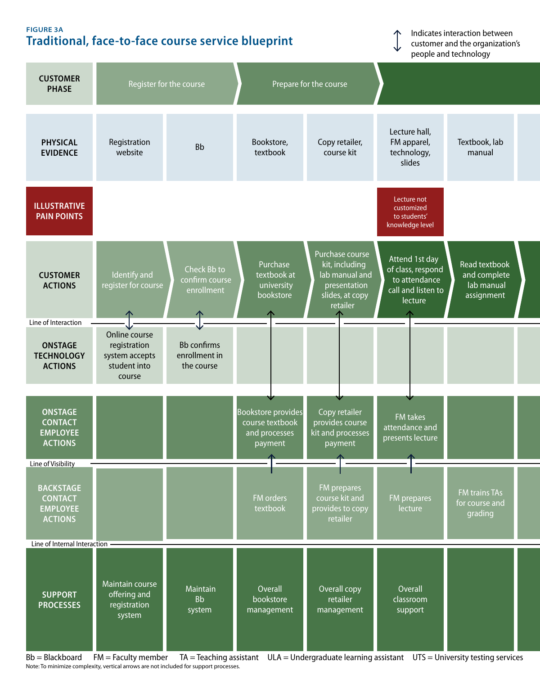## **Figure 3a Traditional, face-to-face course service blueprint**

Indicates interaction between customer and the organization's people and technology



Note: To minimize complexity, vertical arrows are not included for support processes.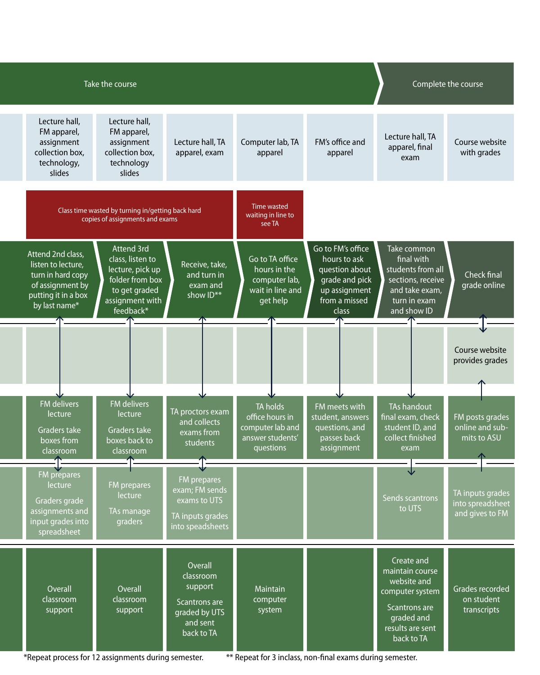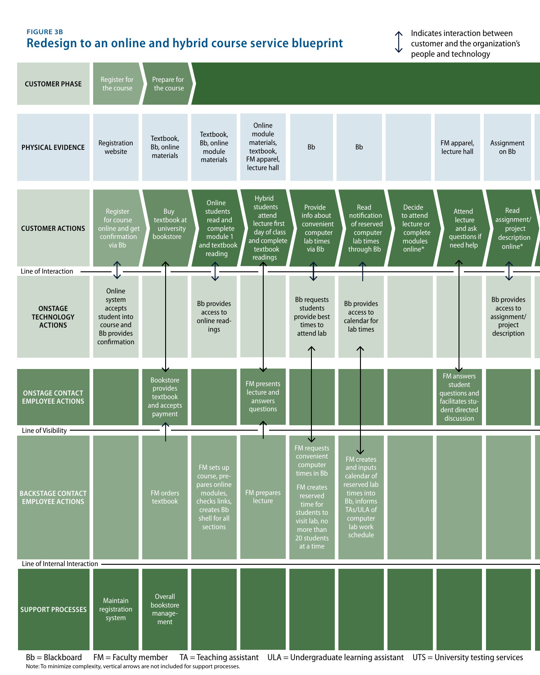## **Figure 3b Redesign to an online and hybrid course service blueprint**

Indicates interaction between customer and the organization's people and technology



Note: To minimize complexity, vertical arrows are not included for support processes.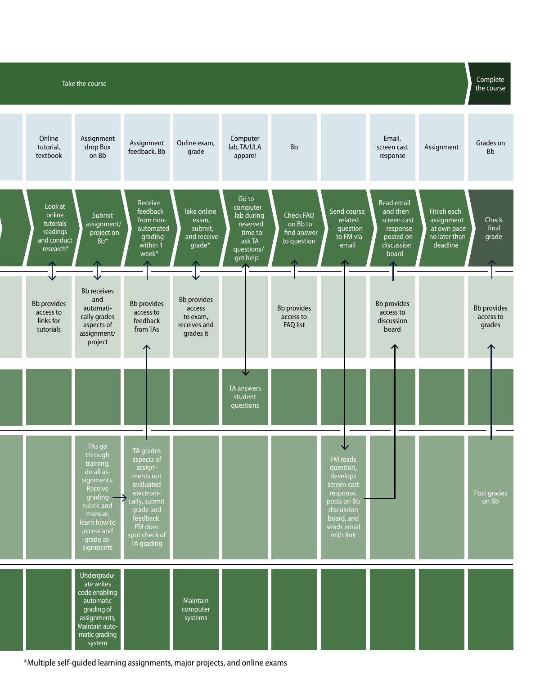

\*Multiple self-guided learning assignments, major projects, and online exams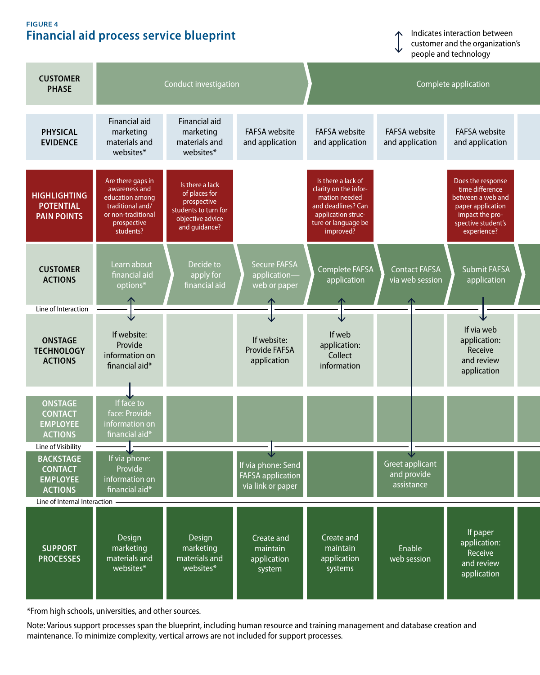## **Figure 4 Financial aid process service blueprint**

Indicates interaction between customer and the organization's people and technology



\*From high schools, universities, and other sources.

Note: Various support processes span the blueprint, including human resource and training management and database creation and maintenance. To minimize complexity, vertical arrows are not included for support processes.